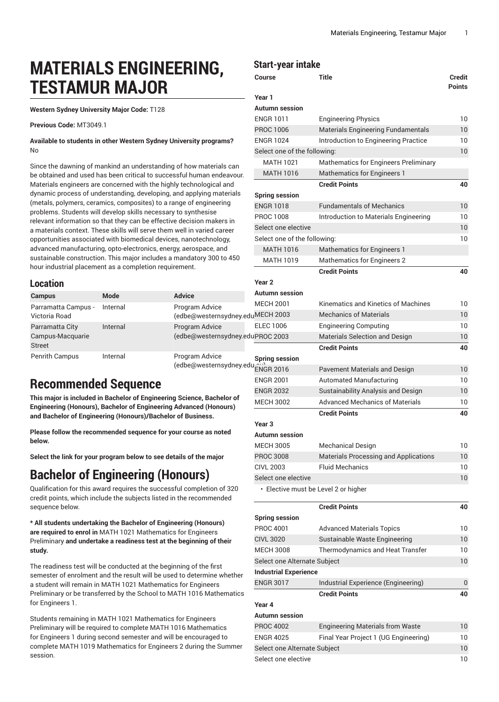# **MATERIALS ENGINEERING, TESTAMUR MAJOR**

**Western Sydney University Major Code:** T128

**Previous Code:** MT3049.1

**Available to students in other Western Sydney University programs?** No

Since the dawning of mankind an understanding of how materials can be obtained and used has been critical to successful human endeavour. Materials engineers are concerned with the highly technological and dynamic process of understanding, developing, and applying materials (metals, polymers, ceramics, composites) to a range of engineering problems. Students will develop skills necessary to synthesise relevant information so that they can be effective decision makers in a materials context. These skills will serve them well in varied career opportunities associated with biomedical devices, nanotechnology, advanced manufacturing, opto-electronics, energy, aerospace, and sustainable construction. This major includes a mandatory 300 to 450 hour industrial placement as a completion requirement.

|                       |          |                                   |                       | Gredit Politis                        |  |
|-----------------------|----------|-----------------------------------|-----------------------|---------------------------------------|--|
| <b>Location</b>       |          |                                   | Year 2                |                                       |  |
| <b>Campus</b>         | Mode     | <b>Advice</b>                     | <b>Autumn session</b> |                                       |  |
| Parramatta Campus -   | Internal | Program Advice                    | <b>MECH 2001</b>      | Kinematics and Kinetics of Machines   |  |
| Victoria Road         |          | (edbe@westernsydney.eduMECH 2003  |                       | <b>Mechanics of Materials</b>         |  |
| Parramatta City       | Internal | Program Advice                    | <b>ELEC 1006</b>      | <b>Engineering Computing</b>          |  |
| Campus-Macquarie      |          | (edbe@westernsydney.eduPROC 2003  |                       | <b>Materials Selection and Design</b> |  |
| <b>Street</b>         |          |                                   |                       | <b>Credit Points</b>                  |  |
| <b>Penrith Campus</b> | Internal | Program Advice                    | <b>Spring session</b> |                                       |  |
|                       |          | (edbe@westernsydney.edu ENGR 2016 |                       | Pavement Materials and Design         |  |

# **Recommended Sequence**

**This major is included in Bachelor of Engineering Science, Bachelor of Engineering (Honours), Bachelor of Engineering Advanced (Honours) and Bachelor of Engineering (Honours)/Bachelor of Business.**

**Please follow the recommended sequence for your course as noted below.**

**Select the link for your program below to see details of the major**

# **Bachelor of Engineering (Honours)**

Qualification for this award requires the successful completion of 320 credit points, which include the subjects listed in the recommended sequence below.

**\* All students undertaking the Bachelor of Engineering (Honours) are required to enrol in** MATH 1021 Mathematics for Engineers Preliminary **and undertake a readiness test at the beginning of their study.**

The readiness test will be conducted at the beginning of the first semester of enrolment and the result will be used to determine whether a student will remain in MATH 1021 Mathematics for Engineers Preliminary or be transferred by the School to MATH 1016 Mathematics for Engineers 1.

Students remaining in MATH 1021 Mathematics for Engineers Preliminary will be required to complete MATH 1016 Mathematics for Engineers 1 during second semester and will be encouraged to complete MATH 1019 Mathematics for Engineers 2 during the Summer session.

#### **Start-year intake**

| Course                       | Title                                        | Credit<br><b>Points</b> |
|------------------------------|----------------------------------------------|-------------------------|
| Year 1                       |                                              |                         |
| <b>Autumn</b> session        |                                              |                         |
| <b>ENGR 1011</b>             | <b>Engineering Physics</b>                   | 10                      |
| <b>PROC 1006</b>             | <b>Materials Engineering Fundamentals</b>    | 10                      |
| <b>ENGR 1024</b>             | Introduction to Engineering Practice         | 10                      |
| Select one of the following: |                                              | 10                      |
| <b>MATH 1021</b>             | Mathematics for Engineers Preliminary        |                         |
| <b>MATH 1016</b>             | <b>Mathematics for Engineers 1</b>           |                         |
|                              | <b>Credit Points</b>                         | 40                      |
| <b>Spring session</b>        |                                              |                         |
| <b>ENGR 1018</b>             | <b>Fundamentals of Mechanics</b>             | 10                      |
| <b>PROC 1008</b>             | Introduction to Materials Engineering        | 10                      |
| Select one elective          |                                              | 10                      |
| Select one of the following: |                                              | 10                      |
| <b>MATH 1016</b>             | <b>Mathematics for Engineers 1</b>           |                         |
| MATH 1019                    | <b>Mathematics for Engineers 2</b>           |                         |
|                              | <b>Credit Points</b>                         | 40                      |
| Year <sub>2</sub>            |                                              |                         |
| <b>Autumn session</b>        |                                              |                         |
| <b>MECH 2001</b>             | Kinematics and Kinetics of Machines          | 10                      |
| <b>MECH 2003</b>             | <b>Mechanics of Materials</b>                | 10                      |
| <b>ELEC 1006</b>             | <b>Engineering Computing</b>                 | 10                      |
| JPROC 2003                   | Materials Selection and Design               | 10                      |
|                              | <b>Credit Points</b>                         | 40                      |
| <b>Spring session</b>        |                                              |                         |
| ENGR 2016                    | <b>Pavement Materials and Design</b>         | 10                      |
| <b>ENGR 2001</b>             | <b>Automated Manufacturing</b>               | 10                      |
| <b>ENGR 2032</b>             | Sustainability Analysis and Design           | 10                      |
| <b>MECH 3002</b>             | <b>Advanced Mechanics of Materials</b>       | 10                      |
|                              | <b>Credit Points</b>                         | 40                      |
| Year 3                       |                                              |                         |
| Autumn session               |                                              |                         |
| <b>MECH 3005</b>             | <b>Mechanical Design</b>                     | 10                      |
| <b>PROC 3008</b>             | <b>Materials Processing and Applications</b> | 10                      |
| <b>CIVL 2003</b>             | <b>Fluid Mechanics</b>                       | 10                      |
| Select one elective          |                                              | 10                      |
|                              | · Elective must be Level 2 or higher         |                         |
|                              | <b>Credit Points</b>                         | 40                      |
| <b>Spring session</b>        |                                              |                         |
| <b>PROC 4001</b>             | <b>Advanced Materials Topics</b>             | 10                      |
| <b>CIVL 3020</b>             | Sustainable Waste Engineering                | 10                      |
| <b>MECH 3008</b>             | Thermodynamics and Heat Transfer             | 10                      |
| Select one Alternate Subject |                                              | 10                      |
| <b>Industrial Experience</b> |                                              |                         |
| <b>ENGR 3017</b>             | Industrial Experience (Engineering)          | 0                       |
|                              | <b>Credit Points</b>                         | 40                      |
| Year 4                       |                                              |                         |
| <b>Autumn</b> session        |                                              |                         |
| <b>PROC 4002</b>             | <b>Engineering Materials from Waste</b>      | 10                      |
| <b>ENGR 4025</b>             | Final Year Project 1 (UG Engineering)        | 10                      |
| Select one Alternate Subject |                                              | 10                      |
| Select one elective          |                                              | 10                      |
|                              |                                              |                         |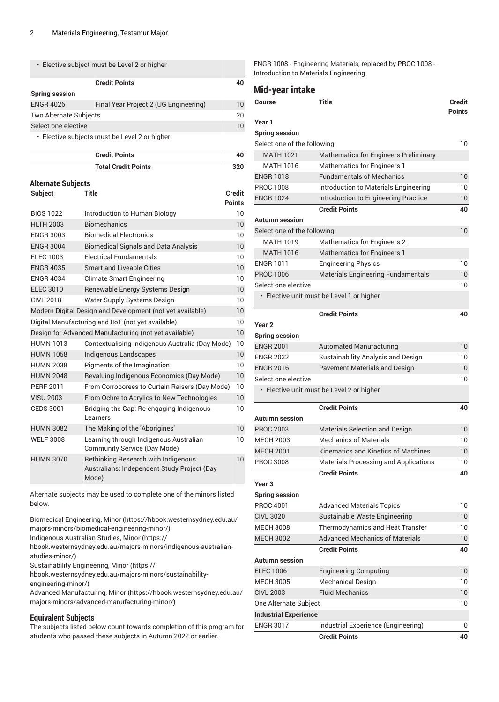| • Elective subject must be Level 2 or higher  |                                       |    |
|-----------------------------------------------|---------------------------------------|----|
|                                               | <b>Credit Points</b>                  | 40 |
| <b>Spring session</b>                         |                                       |    |
| <b>ENGR 4026</b>                              | Final Year Project 2 (UG Engineering) | 10 |
| <b>Two Alternate Subjects</b>                 |                                       |    |
| Select one elective                           |                                       |    |
| • Elective subjects must be Level 2 or higher |                                       |    |

**Credit Points 40 Total Credit Points 320 Alternate Subjects**

#### **Subject Title Credit Points** BIOS 1022 Introduction to Human Biology 10 HLTH 2003 Biomechanics 10 ENGR 3003 Biomedical Electronics 10 ENGR 3004 Biomedical Signals and Data Analysis 10 ELEC 1003 Electrical Fundamentals 10 ENGR 4035 Smart and Liveable Cities 10 ENGR 4034 Climate Smart Engineering 10 ELEC 3010 Renewable Energy Systems Design 10 CIVL 2018 Water Supply Systems Design Mater 30 Modern Digital Design and Development (not yet available) 10 Digital Manufacturing and IIoT (not yet available) 10 Design for Advanced Manufacturing (not yet available) 10 HUMN 1013 Contextualising Indigenous Australia (Day Mode) 10 HUMN 1058 Indigenous Landscapes 10 HUMN 2038 Pigments of the Imagination 10 HUMN 2048 Revaluing Indigenous Economics (Day Mode) 10 PERF 2011 From Corroborees to Curtain Raisers (Day Mode) 10 VISU 2003 From Ochre to Acrylics to New Technologies 10 CEDS 3001 Bridging the Gap: Re-engaging Indigenous Learners 10 HUMN 3082 The Making of the 'Aborigines' 10 WELF 3008 Learning through Indigenous Australian Community Service (Day Mode) 10 HUMN 3070 Rethinking Research with Indigenous Australians: Independent Study Project (Day Mode) 10

Alternate subjects may be used to complete one of the minors listed below.

[Biomedical Engineering, Minor](https://hbook.westernsydney.edu.au/majors-minors/biomedical-engineering-minor/) ([https://hbook.westernsydney.edu.au/](https://hbook.westernsydney.edu.au/majors-minors/biomedical-engineering-minor/) [majors-minors/biomedical-engineering-minor/\)](https://hbook.westernsydney.edu.au/majors-minors/biomedical-engineering-minor/)

[Indigenous Australian Studies, Minor](https://hbook.westernsydney.edu.au/majors-minors/indigenous-australian-studies-minor/) ([https://](https://hbook.westernsydney.edu.au/majors-minors/indigenous-australian-studies-minor/)

[hbook.westernsydney.edu.au/majors-minors/indigenous-australian](https://hbook.westernsydney.edu.au/majors-minors/indigenous-australian-studies-minor/)[studies-minor/\)](https://hbook.westernsydney.edu.au/majors-minors/indigenous-australian-studies-minor/)

[Sustainability Engineering, Minor](https://hbook.westernsydney.edu.au/majors-minors/sustainability-engineering-minor/) ([https://](https://hbook.westernsydney.edu.au/majors-minors/sustainability-engineering-minor/)

[hbook.westernsydney.edu.au/majors-minors/sustainability](https://hbook.westernsydney.edu.au/majors-minors/sustainability-engineering-minor/)[engineering-minor/](https://hbook.westernsydney.edu.au/majors-minors/sustainability-engineering-minor/))

Advanced [Manufacturing,](https://hbook.westernsydney.edu.au/majors-minors/advanced-manufacturing-minor/) Minor ([https://hbook.westernsydney.edu.au/](https://hbook.westernsydney.edu.au/majors-minors/advanced-manufacturing-minor/) [majors-minors/advanced-manufacturing-minor/\)](https://hbook.westernsydney.edu.au/majors-minors/advanced-manufacturing-minor/)

#### **Equivalent Subjects**

The subjects listed below count towards completion of this program for students who passed these subjects in Autumn 2022 or earlier.

ENGR 1008 - Engineering Materials, replaced by PROC 1008 - Introduction to Materials Engineering

#### **Mid-year intake**

| <b>Title</b><br>Course       |                                              | Credit<br><b>Points</b> |  |
|------------------------------|----------------------------------------------|-------------------------|--|
| Year 1                       |                                              |                         |  |
| <b>Spring session</b>        |                                              |                         |  |
| Select one of the following: |                                              | 10                      |  |
| <b>MATH 1021</b>             | Mathematics for Engineers Preliminary        |                         |  |
| <b>MATH 1016</b>             | <b>Mathematics for Engineers 1</b>           |                         |  |
| <b>ENGR 1018</b>             | <b>Fundamentals of Mechanics</b>             | 10                      |  |
| <b>PROC 1008</b>             | Introduction to Materials Engineering        | 10                      |  |
| <b>ENGR 1024</b>             | Introduction to Engineering Practice         | 10                      |  |
|                              | <b>Credit Points</b>                         | 40                      |  |
| Autumn session               |                                              |                         |  |
| Select one of the following: |                                              | 10                      |  |
| <b>MATH 1019</b>             | <b>Mathematics for Engineers 2</b>           |                         |  |
| <b>MATH 1016</b>             | <b>Mathematics for Engineers 1</b>           |                         |  |
| ENGR 1011                    | <b>Engineering Physics</b>                   | 10                      |  |
| <b>PROC 1006</b>             | <b>Materials Engineering Fundamentals</b>    | 10                      |  |
| Select one elective          |                                              | 10                      |  |
|                              | • Elective unit must be Level 1 or higher    |                         |  |
|                              | <b>Credit Points</b>                         | 40                      |  |
| Year <sub>2</sub>            |                                              |                         |  |
| <b>Spring session</b>        |                                              |                         |  |
| <b>ENGR 2001</b>             | <b>Automated Manufacturing</b>               | 10                      |  |
| <b>ENGR 2032</b>             | Sustainability Analysis and Design           | 10                      |  |
| <b>ENGR 2016</b>             | <b>Pavement Materials and Design</b>         | 10                      |  |
| Select one elective          |                                              | 10                      |  |
|                              | • Elective unit must be Level 2 or higher    |                         |  |
|                              | <b>Credit Points</b>                         | 40                      |  |
| Autumn session               |                                              |                         |  |
| <b>PROC 2003</b>             | Materials Selection and Design               | 10                      |  |
| <b>MECH 2003</b>             | <b>Mechanics of Materials</b>                | 10                      |  |
| <b>MECH 2001</b>             | Kinematics and Kinetics of Machines          | 10                      |  |
| <b>PROC 3008</b>             | <b>Materials Processing and Applications</b> | 10                      |  |
|                              | <b>Credit Points</b>                         | 40                      |  |
| Year 3                       |                                              |                         |  |
| <b>Spring session</b>        |                                              |                         |  |
| PROC 4001                    | <b>Advanced Materials Topics</b>             | 10                      |  |
| <b>CIVL 3020</b>             | Sustainable Waste Engineering                | 10 <sup>°</sup>         |  |
| <b>MECH 3008</b>             | Thermodynamics and Heat Transfer             | 10                      |  |
| <b>MECH 3002</b>             | <b>Advanced Mechanics of Materials</b>       | 10                      |  |
|                              | <b>Credit Points</b>                         | 40                      |  |
| Autumn session               |                                              |                         |  |
| <b>ELEC 1006</b>             | <b>Engineering Computing</b>                 | 10                      |  |
| MECH 3005                    | <b>Mechanical Design</b>                     | 10                      |  |
| <b>CIVL 2003</b>             | <b>Fluid Mechanics</b>                       | 10                      |  |
| One Alternate Subject        |                                              | 10                      |  |
| <b>Industrial Experience</b> |                                              |                         |  |
| <b>ENGR 3017</b>             | Industrial Experience (Engineering)          | 0                       |  |
|                              | <b>Credit Points</b>                         | 40                      |  |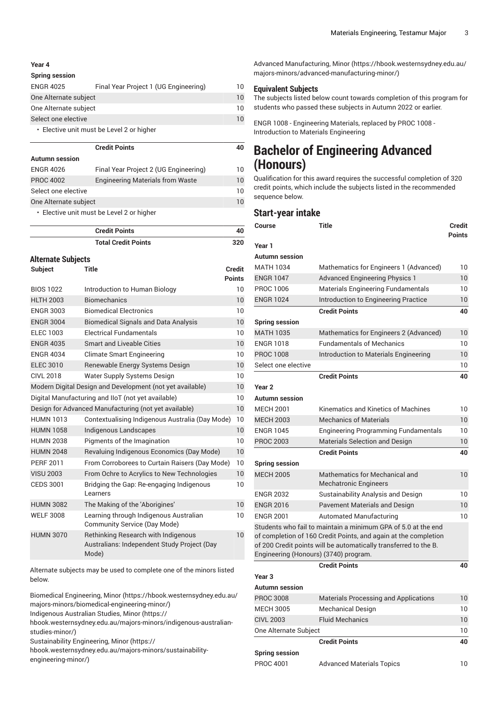#### **Year 4**

#### **Spring session**

| <b>ENGR 4025</b>                          | Final Year Project 1 (UG Engineering) | 10 |
|-------------------------------------------|---------------------------------------|----|
| One Alternate subject                     |                                       |    |
| One Alternate subject                     |                                       | 10 |
| Select one elective                       |                                       |    |
| • Elective unit must be Level 2 or higher |                                       |    |

|                       | <b>Credit Points</b>                      | 40 |
|-----------------------|-------------------------------------------|----|
| <b>Autumn</b> session |                                           |    |
| <b>ENGR 4026</b>      | Final Year Project 2 (UG Engineering)     | 10 |
| <b>PROC 4002</b>      | <b>Engineering Materials from Waste</b>   | 10 |
| Select one elective   |                                           | 10 |
| One Alternate subject |                                           | 10 |
|                       | • Elective unit must be Level 2 or higher |    |

**Credit Points 40 Total Credit Points 320 Alternate Subjects Subject Title Credit Points** BIOS 1022 Introduction to Human Biology 10 HLTH 2003 Biomechanics 10 ENGR 3003 Biomedical Electronics 10 ENGR 3004 Biomedical Signals and Data Analysis 10 ELEC 1003 Electrical Fundamentals 10 ENGR 4035 Smart and Liveable Cities 10 ENGR 4034 Climate Smart Engineering 10 ELEC 3010 Renewable Energy Systems Design 10 CIVL 2018 Water Supply Systems Design 10 Modern Digital Design and Development (not yet available) 10 Digital Manufacturing and IIoT (not yet available) 10 Design for Advanced Manufacturing (not yet available) 10 HUMN 1013 Contextualising Indigenous Australia (Day Mode) 10 HUMN 1058 Indigenous Landscapes 10 HUMN 2038 Pigments of the Imagination 10 HUMN 2048 Revaluing Indigenous Economics (Day Mode) 10 PERF 2011 From Corroborees to Curtain Raisers (Day Mode) 10 VISU 2003 From Ochre to Acrylics to New Technologies 10 CEDS 3001 Bridging the Gap: Re-engaging Indigenous Learners 10 HUMN 3082 The Making of the 'Aborigines' 10 WELF 3008 Learning through Indigenous Australian Community Service (Day Mode) 10 HUMN 3070 Rethinking Research with Indigenous Australians: Independent Study Project (Day Mode) 10

Alternate subjects may be used to complete one of the minors listed below.

[Biomedical Engineering, Minor](https://hbook.westernsydney.edu.au/majors-minors/biomedical-engineering-minor/) ([https://hbook.westernsydney.edu.au/](https://hbook.westernsydney.edu.au/majors-minors/biomedical-engineering-minor/) [majors-minors/biomedical-engineering-minor/\)](https://hbook.westernsydney.edu.au/majors-minors/biomedical-engineering-minor/)

[Indigenous Australian Studies, Minor](https://hbook.westernsydney.edu.au/majors-minors/indigenous-australian-studies-minor/) ([https://](https://hbook.westernsydney.edu.au/majors-minors/indigenous-australian-studies-minor/)

[hbook.westernsydney.edu.au/majors-minors/indigenous-australian](https://hbook.westernsydney.edu.au/majors-minors/indigenous-australian-studies-minor/)[studies-minor/\)](https://hbook.westernsydney.edu.au/majors-minors/indigenous-australian-studies-minor/)

[Sustainability Engineering, Minor](https://hbook.westernsydney.edu.au/majors-minors/sustainability-engineering-minor/) ([https://](https://hbook.westernsydney.edu.au/majors-minors/sustainability-engineering-minor/)

[hbook.westernsydney.edu.au/majors-minors/sustainability](https://hbook.westernsydney.edu.au/majors-minors/sustainability-engineering-minor/)[engineering-minor/](https://hbook.westernsydney.edu.au/majors-minors/sustainability-engineering-minor/))

Advanced [Manufacturing,](https://hbook.westernsydney.edu.au/majors-minors/advanced-manufacturing-minor/) Minor ([https://hbook.westernsydney.edu.au/](https://hbook.westernsydney.edu.au/majors-minors/advanced-manufacturing-minor/) [majors-minors/advanced-manufacturing-minor/\)](https://hbook.westernsydney.edu.au/majors-minors/advanced-manufacturing-minor/)

#### **Equivalent Subjects**

The subjects listed below count towards completion of this program for students who passed these subjects in Autumn 2022 or earlier.

ENGR 1008 - Engineering Materials, replaced by PROC 1008 - Introduction to Materials Engineering

### **Bachelor of Engineering Advanced (Honours)**

Qualification for this award requires the successful completion of 320 credit points, which include the subjects listed in the recommended sequence below.

#### **Start-year intake**

| Course                                | <b>Title</b>                                                                                                                                                                                         | <b>Credit</b><br><b>Points</b> |
|---------------------------------------|------------------------------------------------------------------------------------------------------------------------------------------------------------------------------------------------------|--------------------------------|
| Year 1                                |                                                                                                                                                                                                      |                                |
| Autumn session                        |                                                                                                                                                                                                      |                                |
| <b>MATH 1034</b>                      | Mathematics for Engineers 1 (Advanced)                                                                                                                                                               | 10                             |
| <b>ENGR 1047</b>                      | <b>Advanced Engineering Physics 1</b>                                                                                                                                                                | 10                             |
| PROC 1006                             | <b>Materials Engineering Fundamentals</b>                                                                                                                                                            | 10                             |
| <b>ENGR 1024</b>                      | Introduction to Engineering Practice                                                                                                                                                                 | 10                             |
|                                       | <b>Credit Points</b>                                                                                                                                                                                 | 40                             |
| <b>Spring session</b>                 |                                                                                                                                                                                                      |                                |
| <b>MATH 1035</b>                      | Mathematics for Engineers 2 (Advanced)                                                                                                                                                               | 10                             |
| <b>ENGR 1018</b>                      | <b>Fundamentals of Mechanics</b>                                                                                                                                                                     | 10                             |
| <b>PROC 1008</b>                      | Introduction to Materials Engineering                                                                                                                                                                | 10                             |
| Select one elective                   |                                                                                                                                                                                                      | 10                             |
|                                       | <b>Credit Points</b>                                                                                                                                                                                 | 40                             |
| Year 2                                |                                                                                                                                                                                                      |                                |
| <b>Autumn</b> session                 |                                                                                                                                                                                                      |                                |
| <b>MECH 2001</b>                      | Kinematics and Kinetics of Machines                                                                                                                                                                  | 10                             |
| <b>MECH 2003</b>                      | <b>Mechanics of Materials</b>                                                                                                                                                                        | 10                             |
| <b>ENGR 1045</b>                      | <b>Engineering Programming Fundamentals</b>                                                                                                                                                          | 10                             |
| <b>PROC 2003</b>                      | <b>Materials Selection and Design</b>                                                                                                                                                                | 10                             |
|                                       | <b>Credit Points</b>                                                                                                                                                                                 | 40                             |
| <b>Spring session</b>                 |                                                                                                                                                                                                      |                                |
| <b>MECH 2005</b>                      | Mathematics for Mechanical and<br><b>Mechatronic Engineers</b>                                                                                                                                       | 10                             |
| <b>ENGR 2032</b>                      | Sustainability Analysis and Design                                                                                                                                                                   | 10                             |
| <b>ENGR 2016</b>                      | <b>Pavement Materials and Design</b>                                                                                                                                                                 | 10                             |
| <b>ENGR 2001</b>                      | <b>Automated Manufacturing</b>                                                                                                                                                                       | 10                             |
| Engineering (Honours) (3740) program. | Students who fail to maintain a minimum GPA of 5.0 at the end<br>of completion of 160 Credit Points, and again at the completion<br>of 200 Credit points will be automatically transferred to the B. |                                |
|                                       | <b>Credit Points</b>                                                                                                                                                                                 | 40                             |
| Year <sub>3</sub>                     |                                                                                                                                                                                                      |                                |
| <b>Autumn session</b>                 |                                                                                                                                                                                                      |                                |
| <b>PROC 3008</b>                      | <b>Materials Processing and Applications</b>                                                                                                                                                         | 10                             |
| <b>MECH 3005</b>                      | Mechanical Design                                                                                                                                                                                    | 10                             |
| <b>CIVL 2003</b>                      | <b>Fluid Mechanics</b>                                                                                                                                                                               | 10                             |
| One Alternate Subject                 |                                                                                                                                                                                                      | 10                             |
|                                       | <b>Credit Points</b>                                                                                                                                                                                 | 40                             |
| Spring session                        |                                                                                                                                                                                                      |                                |

PROC 4001 Advanced Materials Topics 10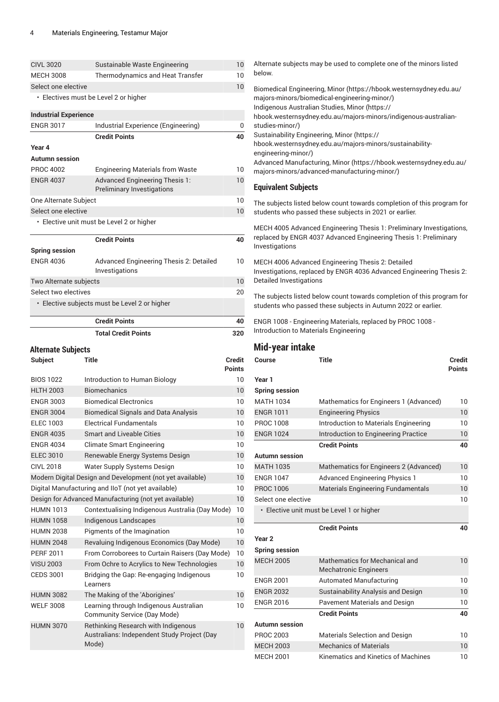|                              | <b>Total Credit Points</b>                                                 | 320 |
|------------------------------|----------------------------------------------------------------------------|-----|
|                              | <b>Credit Points</b>                                                       | 40  |
|                              | • Elective subjects must be Level 2 or higher                              |     |
| Select two electives         |                                                                            | 20  |
| Two Alternate subjects       |                                                                            | 10  |
| <b>ENGR 4036</b>             | Advanced Engineering Thesis 2: Detailed<br>Investigations                  | 10  |
| <b>Spring session</b>        |                                                                            |     |
|                              | <b>Credit Points</b>                                                       | 40  |
|                              | • Elective unit must be Level 2 or higher                                  |     |
| Select one elective          |                                                                            | 10  |
| One Alternate Subject        |                                                                            | 10  |
| <b>ENGR 4037</b>             | <b>Advanced Engineering Thesis 1:</b><br><b>Preliminary Investigations</b> | 10  |
| <b>PROC 4002</b>             | <b>Engineering Materials from Waste</b>                                    | 10  |
| <b>Autumn session</b>        |                                                                            |     |
| Year 4                       |                                                                            |     |
|                              | <b>Credit Points</b>                                                       | 40  |
| <b>ENGR 3017</b>             | Industrial Experience (Engineering)                                        | 0   |
| <b>Industrial Experience</b> |                                                                            |     |
|                              | • Electives must be Level 2 or higher                                      |     |
| Select one elective          |                                                                            | 10  |
| <b>MECH 3008</b>             | <b>Thermodynamics and Heat Transfer</b>                                    |     |
| <b>CIVL 3020</b>             | 10<br>Sustainable Waste Engineering                                        |     |

### **Alternate Subjects**

| Subject          | Title                                                                                       | <b>Credit</b><br><b>Points</b> |
|------------------|---------------------------------------------------------------------------------------------|--------------------------------|
| <b>BIOS 1022</b> | Introduction to Human Biology                                                               | 10                             |
| <b>HLTH 2003</b> | <b>Biomechanics</b>                                                                         | 10                             |
| <b>ENGR 3003</b> | <b>Biomedical Electronics</b>                                                               | 10                             |
| <b>ENGR 3004</b> | <b>Biomedical Signals and Data Analysis</b>                                                 | 10                             |
| ELEC 1003        | <b>Electrical Fundamentals</b>                                                              | 10                             |
| <b>ENGR 4035</b> | <b>Smart and Liveable Cities</b>                                                            | 10                             |
| <b>ENGR 4034</b> | <b>Climate Smart Engineering</b>                                                            | 10                             |
| <b>ELEC 3010</b> | Renewable Energy Systems Design                                                             | 10                             |
| CIVL 2018        | <b>Water Supply Systems Design</b>                                                          | 10                             |
|                  | Modern Digital Design and Development (not yet available)                                   | 10                             |
|                  | Digital Manufacturing and IIoT (not yet available)                                          | 10                             |
|                  | Design for Advanced Manufacturing (not yet available)                                       | 10                             |
| <b>HUMN 1013</b> | Contextualising Indigenous Australia (Day Mode)                                             | 10                             |
| <b>HUMN 1058</b> | Indigenous Landscapes                                                                       | 10                             |
| <b>HUMN 2038</b> | Pigments of the Imagination                                                                 | 10                             |
| <b>HUMN 2048</b> | Revaluing Indigenous Economics (Day Mode)                                                   | 10                             |
| <b>PERF 2011</b> | From Corroborees to Curtain Raisers (Day Mode)                                              | 10                             |
| <b>VISU 2003</b> | From Ochre to Acrylics to New Technologies                                                  | 10                             |
| <b>CEDS 3001</b> | Bridging the Gap: Re-engaging Indigenous<br>Learners                                        | 10                             |
| <b>HUMN 3082</b> | The Making of the 'Aborigines'                                                              | 10                             |
| <b>WELF 3008</b> | Learning through Indigenous Australian<br>Community Service (Day Mode)                      | 10                             |
| <b>HUMN 3070</b> | Rethinking Research with Indigenous<br>Australians: Independent Study Project (Day<br>Mode) | 10                             |

Alternate subjects may be used to complete one of the minors listed below. [Biomedical Engineering, Minor](https://hbook.westernsydney.edu.au/majors-minors/biomedical-engineering-minor/) ([https://hbook.westernsydney.edu.au/](https://hbook.westernsydney.edu.au/majors-minors/biomedical-engineering-minor/)

[majors-minors/biomedical-engineering-minor/\)](https://hbook.westernsydney.edu.au/majors-minors/biomedical-engineering-minor/) [Indigenous Australian Studies, Minor](https://hbook.westernsydney.edu.au/majors-minors/indigenous-australian-studies-minor/) [\(https://](https://hbook.westernsydney.edu.au/majors-minors/indigenous-australian-studies-minor/) [hbook.westernsydney.edu.au/majors-minors/indigenous-australian](https://hbook.westernsydney.edu.au/majors-minors/indigenous-australian-studies-minor/)[studies-minor/\)](https://hbook.westernsydney.edu.au/majors-minors/indigenous-australian-studies-minor/)

[Sustainability Engineering, Minor](https://hbook.westernsydney.edu.au/majors-minors/sustainability-engineering-minor/) ([https://](https://hbook.westernsydney.edu.au/majors-minors/sustainability-engineering-minor/)

[hbook.westernsydney.edu.au/majors-minors/sustainability](https://hbook.westernsydney.edu.au/majors-minors/sustainability-engineering-minor/)[engineering-minor/\)](https://hbook.westernsydney.edu.au/majors-minors/sustainability-engineering-minor/)

Advanced [Manufacturing,](https://hbook.westernsydney.edu.au/majors-minors/advanced-manufacturing-minor/) Minor ([https://hbook.westernsydney.edu.au/](https://hbook.westernsydney.edu.au/majors-minors/advanced-manufacturing-minor/) [majors-minors/advanced-manufacturing-minor/\)](https://hbook.westernsydney.edu.au/majors-minors/advanced-manufacturing-minor/)

#### **Equivalent Subjects**

The subjects listed below count towards completion of this program for students who passed these subjects in 2021 or earlier.

MECH 4005 Advanced Engineering Thesis 1: Preliminary Investigations, replaced by ENGR 4037 Advanced Engineering Thesis 1: Preliminary Investigations

MECH 4006 Advanced Engineering Thesis 2: Detailed Investigations, replaced by ENGR 4036 Advanced Engineering Thesis 2: Detailed Investigations

The subjects listed below count towards completion of this program for students who passed these subjects in Autumn 2022 or earlier.

ENGR 1008 - Engineering Materials, replaced by PROC 1008 - Introduction to Materials Engineering

#### **Mid-year intake**

| Title<br>Course       |                                                                | Credit<br><b>Points</b> |
|-----------------------|----------------------------------------------------------------|-------------------------|
| Year 1                |                                                                |                         |
| <b>Spring session</b> |                                                                |                         |
| <b>MATH 1034</b>      | Mathematics for Engineers 1 (Advanced)                         | 10                      |
| <b>ENGR 1011</b>      | <b>Engineering Physics</b>                                     | 10                      |
| <b>PROC 1008</b>      | Introduction to Materials Engineering                          | 10                      |
| <b>ENGR 1024</b>      | Introduction to Engineering Practice                           | 10                      |
|                       | <b>Credit Points</b>                                           | 40                      |
| Autumn session        |                                                                |                         |
| <b>MATH 1035</b>      | Mathematics for Engineers 2 (Advanced)                         | 10                      |
| <b>ENGR 1047</b>      | <b>Advanced Engineering Physics 1</b>                          | 10 <sup>1</sup>         |
| <b>PROC 1006</b>      | <b>Materials Engineering Fundamentals</b>                      | 10                      |
| Select one elective   |                                                                | 10                      |
|                       | · Elective unit must be Level 1 or higher                      |                         |
|                       | <b>Credit Points</b>                                           | 40                      |
| Year <sub>2</sub>     |                                                                |                         |
| <b>Spring session</b> |                                                                |                         |
| <b>MECH 2005</b>      | Mathematics for Mechanical and<br><b>Mechatronic Engineers</b> | 10                      |
| <b>ENGR 2001</b>      | <b>Automated Manufacturing</b>                                 | 10                      |
| <b>ENGR 2032</b>      | <b>Sustainability Analysis and Design</b>                      | 10                      |
| <b>ENGR 2016</b>      | <b>Pavement Materials and Design</b>                           | 10                      |
|                       | <b>Credit Points</b>                                           | 40                      |
| Autumn session        |                                                                |                         |
| <b>PROC 2003</b>      | <b>Materials Selection and Design</b>                          | 10                      |
| <b>MECH 2003</b>      | <b>Mechanics of Materials</b>                                  | 10                      |
| <b>MECH 2001</b>      | Kinematics and Kinetics of Machines                            | 10                      |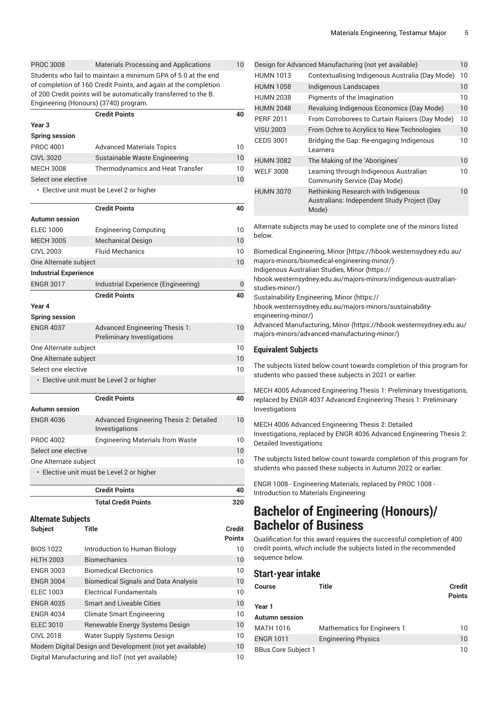| <b>PROC 3008</b>                                                | <b>Materials Processing and Applications</b>                     | 10  |  |
|-----------------------------------------------------------------|------------------------------------------------------------------|-----|--|
| Students who fail to maintain a minimum GPA of 5.0 at the end   |                                                                  |     |  |
| of completion of 160 Credit Points, and again at the completion |                                                                  |     |  |
|                                                                 | of 200 Credit points will be automatically transferred to the B. |     |  |
| Engineering (Honours) (3740) program.                           |                                                                  |     |  |
|                                                                 | <b>Credit Points</b>                                             | 40  |  |
| Year <sub>3</sub>                                               |                                                                  |     |  |
| <b>Spring session</b>                                           |                                                                  |     |  |
| <b>PROC 4001</b>                                                | <b>Advanced Materials Topics</b>                                 | 10  |  |
| <b>CIVL 3020</b>                                                | Sustainable Waste Engineering                                    | 10  |  |
| <b>MECH 3008</b>                                                | <b>Thermodynamics and Heat Transfer</b>                          | 10  |  |
| Select one elective                                             |                                                                  | 10  |  |
|                                                                 | • Elective unit must be Level 2 or higher                        |     |  |
|                                                                 | <b>Credit Points</b>                                             | 40  |  |
| <b>Autumn session</b>                                           |                                                                  |     |  |
| <b>ELEC 1006</b>                                                | <b>Engineering Computing</b>                                     | 10  |  |
| <b>MECH 3005</b>                                                | <b>Mechanical Design</b>                                         | 10  |  |
| <b>CIVL 2003</b>                                                | <b>Fluid Mechanics</b>                                           | 10  |  |
|                                                                 |                                                                  | 10  |  |
| One Alternate subject<br><b>Industrial Experience</b>           |                                                                  |     |  |
|                                                                 |                                                                  |     |  |
| <b>ENGR 3017</b>                                                | Industrial Experience (Engineering)                              | 0   |  |
|                                                                 | <b>Credit Points</b>                                             | 40  |  |
| Year 4                                                          |                                                                  |     |  |
| <b>Spring session</b>                                           |                                                                  |     |  |
| <b>ENGR 4037</b>                                                | <b>Advanced Engineering Thesis 1:</b>                            | 10  |  |
|                                                                 | <b>Preliminary Investigations</b>                                | 10  |  |
| One Alternate subject                                           |                                                                  |     |  |
| One Alternate subject<br>Select one elective                    |                                                                  | 10  |  |
|                                                                 |                                                                  | 10  |  |
|                                                                 | • Elective unit must be Level 2 or higher                        |     |  |
|                                                                 | <b>Credit Points</b>                                             | 40  |  |
| <b>Autumn</b> session                                           |                                                                  |     |  |
| <b>ENGR 4036</b>                                                | Advanced Engineering Thesis 2: Detailed                          | 10  |  |
|                                                                 | Investigations                                                   |     |  |
| <b>PROC 4002</b>                                                | <b>Engineering Materials from Waste</b>                          | 10  |  |
| Select one elective                                             |                                                                  | 10  |  |
| One Alternate subject                                           |                                                                  | 10  |  |
| · Elective unit must be Level 2 or higher                       |                                                                  |     |  |
|                                                                 |                                                                  |     |  |
|                                                                 | <b>Credit Points</b>                                             | 40  |  |
|                                                                 | <b>Total Credit Points</b>                                       | 320 |  |

```
Alternate Subjects
```

| Subject | <b>Title</b> | <b>Credit</b> |
|---------|--------------|---------------|
|         |              |               |

|                                                                 |                                             | <b>Points</b> |
|-----------------------------------------------------------------|---------------------------------------------|---------------|
| <b>BIOS 1022</b>                                                | Introduction to Human Biology               | 10            |
| <b>HLTH 2003</b>                                                | <b>Biomechanics</b>                         | 10            |
| <b>ENGR 3003</b>                                                | <b>Biomedical Electronics</b>               | 10            |
| <b>ENGR 3004</b>                                                | <b>Biomedical Signals and Data Analysis</b> | 10            |
| <b>ELEC 1003</b>                                                | <b>Electrical Fundamentals</b>              | 10            |
| <b>ENGR 4035</b>                                                | <b>Smart and Liveable Cities</b>            | 10            |
| <b>ENGR 4034</b>                                                | Climate Smart Engineering                   | 10            |
| <b>ELEC 3010</b>                                                | Renewable Energy Systems Design             | 10            |
| <b>CIVL 2018</b>                                                | Water Supply Systems Design                 | 10            |
| Modern Digital Design and Development (not yet available)<br>10 |                                             |               |
| Digital Manufacturing and IIoT (not yet available)<br>10        |                                             |               |

| Design for Advanced Manufacturing (not yet available)<br>10 |                                                                                                    |    |
|-------------------------------------------------------------|----------------------------------------------------------------------------------------------------|----|
| <b>HUMN 1013</b>                                            | Contextualising Indigenous Australia (Day Mode)                                                    | 10 |
| <b>HUMN 1058</b>                                            | Indigenous Landscapes                                                                              | 10 |
| <b>HUMN 2038</b>                                            | Pigments of the Imagination                                                                        | 10 |
| <b>HUMN 2048</b>                                            | Revaluing Indigenous Economics (Day Mode)                                                          | 10 |
| <b>PERF 2011</b>                                            | From Corroborees to Curtain Raisers (Day Mode)                                                     | 10 |
| <b>VISU 2003</b>                                            | From Ochre to Acrylics to New Technologies                                                         | 10 |
| <b>CEDS 3001</b>                                            | Bridging the Gap: Re-engaging Indigenous<br>Learners                                               | 10 |
| <b>HUMN 3082</b>                                            | The Making of the 'Aborigines'                                                                     | 10 |
| <b>WELF 3008</b>                                            | Learning through Indigenous Australian<br>Community Service (Day Mode)                             | 10 |
| <b>HUMN 3070</b>                                            | <b>Rethinking Research with Indigenous</b><br>Australians: Independent Study Project (Day<br>Mode) | 10 |

Alternate subjects may be used to complete one of the minors listed below.

[Biomedical Engineering, Minor](https://hbook.westernsydney.edu.au/majors-minors/biomedical-engineering-minor/) ([https://hbook.westernsydney.edu.au/](https://hbook.westernsydney.edu.au/majors-minors/biomedical-engineering-minor/) [majors-minors/biomedical-engineering-minor/\)](https://hbook.westernsydney.edu.au/majors-minors/biomedical-engineering-minor/)

[Indigenous Australian Studies, Minor](https://hbook.westernsydney.edu.au/majors-minors/indigenous-australian-studies-minor/) [\(https://](https://hbook.westernsydney.edu.au/majors-minors/indigenous-australian-studies-minor/)

[hbook.westernsydney.edu.au/majors-minors/indigenous-australian](https://hbook.westernsydney.edu.au/majors-minors/indigenous-australian-studies-minor/)[studies-minor/\)](https://hbook.westernsydney.edu.au/majors-minors/indigenous-australian-studies-minor/)

[Sustainability Engineering, Minor](https://hbook.westernsydney.edu.au/majors-minors/sustainability-engineering-minor/) ([https://](https://hbook.westernsydney.edu.au/majors-minors/sustainability-engineering-minor/)

[hbook.westernsydney.edu.au/majors-minors/sustainability](https://hbook.westernsydney.edu.au/majors-minors/sustainability-engineering-minor/)[engineering-minor/\)](https://hbook.westernsydney.edu.au/majors-minors/sustainability-engineering-minor/)

Advanced [Manufacturing,](https://hbook.westernsydney.edu.au/majors-minors/advanced-manufacturing-minor/) Minor ([https://hbook.westernsydney.edu.au/](https://hbook.westernsydney.edu.au/majors-minors/advanced-manufacturing-minor/) [majors-minors/advanced-manufacturing-minor/\)](https://hbook.westernsydney.edu.au/majors-minors/advanced-manufacturing-minor/)

#### **Equivalent Subjects**

The subjects listed below count towards completion of this program for students who passed these subjects in 2021 or earlier.

MECH 4005 Advanced Engineering Thesis 1: Preliminary Investigations, replaced by ENGR 4037 Advanced Engineering Thesis 1: Preliminary Investigations

MECH 4006 Advanced Engineering Thesis 2: Detailed Investigations, replaced by ENGR 4036 Advanced Engineering Thesis 2: Detailed Investigations

The subjects listed below count towards completion of this program for students who passed these subjects in Autumn 2022 or earlier.

ENGR 1008 - Engineering Materials, replaced by PROC 1008 - Introduction to Materials Engineering

## **Bachelor of Engineering (Honours)/ Bachelor of Business**

Qualification for this award requires the successful completion of 400 credit points, which include the subjects listed in the recommended sequence below.

#### **Start-year intake**

| <b>Course</b>              | Title                              | <b>Credit</b><br><b>Points</b> |  |  |
|----------------------------|------------------------------------|--------------------------------|--|--|
| Year 1                     |                                    |                                |  |  |
| <b>Autumn</b> session      |                                    |                                |  |  |
| MATH 1016                  | <b>Mathematics for Engineers 1</b> | 10                             |  |  |
| <b>ENGR 1011</b>           | <b>Engineering Physics</b>         | 10                             |  |  |
| <b>BBus Core Subject 1</b> |                                    | 10                             |  |  |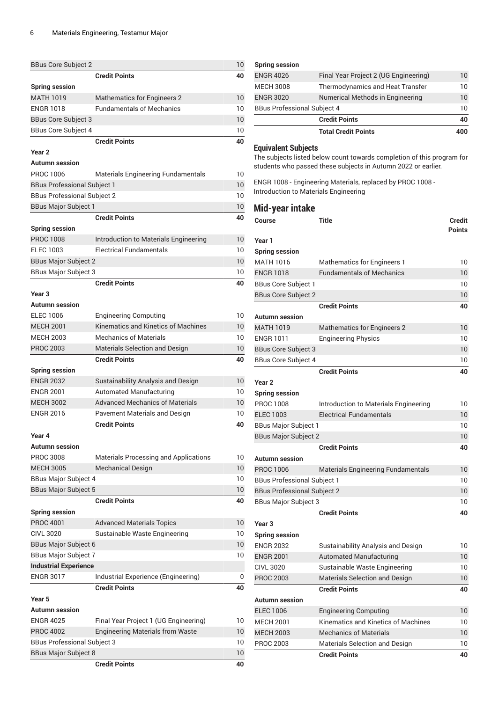| <b>BBus Core Subject 2</b>         |                                              | 10 |
|------------------------------------|----------------------------------------------|----|
|                                    | <b>Credit Points</b>                         | 40 |
| <b>Spring session</b>              |                                              |    |
| <b>MATH 1019</b>                   | <b>Mathematics for Engineers 2</b>           | 10 |
| <b>ENGR 1018</b>                   | <b>Fundamentals of Mechanics</b>             | 10 |
| <b>BBus Core Subject 3</b>         |                                              | 10 |
| <b>BBus Core Subject 4</b>         |                                              | 10 |
|                                    | <b>Credit Points</b>                         | 40 |
| Year <sub>2</sub>                  |                                              |    |
| <b>Autumn</b> session              |                                              |    |
| PROC 1006                          | <b>Materials Engineering Fundamentals</b>    | 10 |
| <b>BBus Professional Subject 1</b> |                                              | 10 |
| <b>BBus Professional Subject 2</b> |                                              | 10 |
| <b>BBus Major Subject 1</b>        |                                              | 10 |
|                                    | <b>Credit Points</b>                         | 40 |
| <b>Spring session</b>              |                                              |    |
| <b>PROC 1008</b>                   | Introduction to Materials Engineering        | 10 |
| <b>ELEC 1003</b>                   | <b>Electrical Fundamentals</b>               | 10 |
| <b>BBus Major Subject 2</b>        |                                              | 10 |
| <b>BBus Major Subject 3</b>        |                                              | 10 |
|                                    | <b>Credit Points</b>                         | 40 |
| Year <sub>3</sub>                  |                                              |    |
| <b>Autumn session</b>              |                                              |    |
| <b>ELEC 1006</b>                   | <b>Engineering Computing</b>                 | 10 |
| <b>MECH 2001</b>                   | Kinematics and Kinetics of Machines          | 10 |
| <b>MECH 2003</b>                   | <b>Mechanics of Materials</b>                | 10 |
| <b>PROC 2003</b>                   | Materials Selection and Design               | 10 |
|                                    | <b>Credit Points</b>                         |    |
|                                    |                                              | 40 |
| <b>Spring session</b>              |                                              |    |
| <b>ENGR 2032</b>                   | Sustainability Analysis and Design           | 10 |
| <b>ENGR 2001</b>                   | <b>Automated Manufacturing</b>               | 10 |
| <b>MECH 3002</b>                   | <b>Advanced Mechanics of Materials</b>       | 10 |
| <b>ENGR 2016</b>                   | <b>Pavement Materials and Design</b>         | 10 |
|                                    | <b>Credit Points</b>                         | 40 |
| Year 4                             |                                              |    |
| <b>Autumn</b> session              |                                              |    |
| <b>PROC 3008</b>                   | <b>Materials Processing and Applications</b> | 10 |
| <b>MECH 3005</b>                   | <b>Mechanical Design</b>                     | 10 |
| <b>BBus Major Subject 4</b>        |                                              | 10 |
| <b>BBus Major Subject 5</b>        |                                              | 10 |
|                                    | <b>Credit Points</b>                         | 40 |
| <b>Spring session</b>              |                                              |    |
| <b>PROC 4001</b>                   | <b>Advanced Materials Topics</b>             | 10 |
| <b>CIVL 3020</b>                   | Sustainable Waste Engineering                | 10 |
| <b>BBus Major Subject 6</b>        |                                              | 10 |
| <b>BBus Major Subject 7</b>        |                                              | 10 |
| <b>Industrial Experience</b>       |                                              |    |
| <b>ENGR 3017</b>                   | Industrial Experience (Engineering)          | 0  |
|                                    | <b>Credit Points</b>                         | 40 |
| Year 5                             |                                              |    |
| <b>Autumn session</b>              |                                              |    |
| <b>ENGR 4025</b>                   | Final Year Project 1 (UG Engineering)        | 10 |
| <b>PROC 4002</b>                   | <b>Engineering Materials from Waste</b>      | 10 |
| <b>BBus Professional Subject 3</b> |                                              | 10 |
| <b>BBus Major Subject 8</b><br>10  |                                              |    |
|                                    | <b>Credit Points</b>                         | 40 |
|                                    |                                              |    |

| <b>Total Credit Points</b>         |                                       | 400          |
|------------------------------------|---------------------------------------|--------------|
|                                    | <b>Credit Points</b>                  | 40           |
| <b>BBus Professional Subject 4</b> |                                       | 10           |
| <b>ENGR 3020</b>                   | Numerical Methods in Engineering      | 10           |
| <b>MECH 3008</b>                   | Thermodynamics and Heat Transfer      |              |
| <b>ENGR 4026</b>                   | Final Year Project 2 (UG Engineering) | $10^{\circ}$ |
| <b>Spring session</b>              |                                       |              |

#### **Equivalent Subjects**

The subjects listed below count towards completion of this program for students who passed these subjects in Autumn 2022 or earlier.

ENGR 1008 - Engineering Materials, replaced by PROC 1008 - Introduction to Materials Engineering

#### **Mid-year intake**

| Course                             | <b>Title</b>                              | <b>Credit</b><br><b>Points</b> |
|------------------------------------|-------------------------------------------|--------------------------------|
| Year 1                             |                                           |                                |
| <b>Spring session</b>              |                                           |                                |
| <b>MATH 1016</b>                   | <b>Mathematics for Engineers 1</b>        | 10                             |
| <b>ENGR 1018</b>                   | <b>Fundamentals of Mechanics</b>          | 10                             |
| <b>BBus Core Subject 1</b>         |                                           | 10                             |
| <b>BBus Core Subject 2</b>         |                                           | 10                             |
|                                    | <b>Credit Points</b>                      | 40                             |
| <b>Autumn session</b>              |                                           |                                |
| <b>MATH 1019</b>                   | <b>Mathematics for Engineers 2</b>        | 10                             |
| <b>ENGR 1011</b>                   | <b>Engineering Physics</b>                | 10                             |
| <b>BBus Core Subject 3</b>         |                                           | 10                             |
| <b>BBus Core Subject 4</b>         |                                           | 10                             |
|                                    | <b>Credit Points</b>                      | 40                             |
| Year <sub>2</sub>                  |                                           |                                |
| <b>Spring session</b>              |                                           |                                |
| <b>PROC 1008</b>                   | Introduction to Materials Engineering     | 10                             |
| <b>ELEC 1003</b>                   | <b>Electrical Fundamentals</b>            | 10                             |
| <b>BBus Major Subject 1</b>        |                                           | 10                             |
| <b>BBus Major Subject 2</b>        |                                           | 10                             |
|                                    | <b>Credit Points</b>                      | 40                             |
| <b>Autumn</b> session              |                                           |                                |
| <b>PROC 1006</b>                   | <b>Materials Engineering Fundamentals</b> | 10                             |
| <b>BBus Professional Subject 1</b> |                                           | 10                             |
| <b>BBus Professional Subject 2</b> |                                           | 10                             |
| <b>BBus Major Subject 3</b>        |                                           | 10                             |
|                                    | <b>Credit Points</b>                      | 40                             |
| Year <sub>3</sub>                  |                                           |                                |
| <b>Spring session</b>              |                                           |                                |
| <b>ENGR 2032</b>                   | Sustainability Analysis and Design        | 10                             |
| <b>ENGR 2001</b>                   | <b>Automated Manufacturing</b>            | 10                             |
| <b>CIVL 3020</b>                   | Sustainable Waste Engineering             | 10                             |
| <b>PROC 2003</b>                   | Materials Selection and Design            | 10                             |
|                                    | <b>Credit Points</b>                      | 40                             |
| <b>Autumn session</b>              |                                           |                                |
| <b>ELEC 1006</b>                   | <b>Engineering Computing</b>              | 10                             |
| <b>MECH 2001</b>                   | Kinematics and Kinetics of Machines       | 10                             |
| <b>MECH 2003</b>                   | <b>Mechanics of Materials</b>             | 10                             |
| <b>PROC 2003</b>                   | Materials Selection and Design            | 10                             |
|                                    | <b>Credit Points</b>                      | 40                             |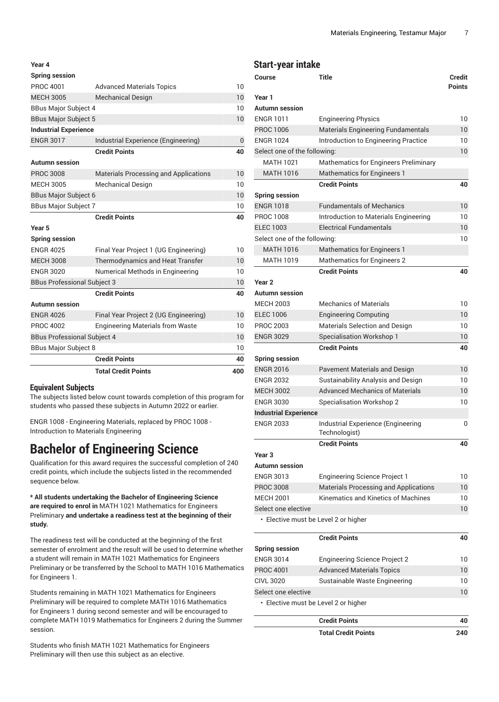| Year 4                                                      |                                              |     |  |
|-------------------------------------------------------------|----------------------------------------------|-----|--|
| <b>Spring session</b>                                       |                                              |     |  |
| <b>PROC 4001</b>                                            | <b>Advanced Materials Topics</b>             |     |  |
| <b>MECH 3005</b><br><b>Mechanical Design</b>                |                                              |     |  |
| <b>BBus Major Subject 4</b>                                 |                                              | 10  |  |
| <b>BBus Major Subject 5</b>                                 |                                              | 10  |  |
| <b>Industrial Experience</b>                                |                                              |     |  |
| <b>ENGR 3017</b>                                            | Industrial Experience (Engineering)          | 0   |  |
|                                                             | <b>Credit Points</b>                         | 40  |  |
| <b>Autumn session</b>                                       |                                              |     |  |
| <b>PROC 3008</b>                                            | <b>Materials Processing and Applications</b> | 10  |  |
| <b>MECH 3005</b>                                            | <b>Mechanical Design</b>                     | 10  |  |
| <b>BBus Major Subject 6</b>                                 |                                              | 10  |  |
| <b>BBus Major Subject 7</b>                                 |                                              | 10  |  |
|                                                             | <b>Credit Points</b>                         | 40  |  |
| Year 5                                                      |                                              |     |  |
| <b>Spring session</b>                                       |                                              |     |  |
| <b>ENGR 4025</b>                                            | Final Year Project 1 (UG Engineering)        | 10  |  |
| <b>MECH 3008</b>                                            | Thermodynamics and Heat Transfer             | 10  |  |
| <b>ENGR 3020</b><br>Numerical Methods in Engineering        |                                              | 10  |  |
| <b>BBus Professional Subject 3</b>                          |                                              | 10  |  |
|                                                             | <b>Credit Points</b>                         | 40  |  |
| <b>Autumn session</b>                                       |                                              |     |  |
| <b>ENGR 4026</b>                                            | Final Year Project 2 (UG Engineering)        | 10  |  |
| <b>PROC 4002</b><br><b>Engineering Materials from Waste</b> |                                              | 10  |  |
| <b>BBus Professional Subject 4</b>                          |                                              | 10  |  |
| <b>BBus Major Subject 8</b>                                 |                                              | 10  |  |
|                                                             | <b>Credit Points</b>                         | 40  |  |
|                                                             | <b>Total Credit Points</b>                   | 400 |  |

#### **Equivalent Subjects**

The subjects listed below count towards completion of this program for students who passed these subjects in Autumn 2022 or earlier.

ENGR 1008 - Engineering Materials, replaced by PROC 1008 - Introduction to Materials Engineering

# **Bachelor of Engineering Science**

Qualification for this award requires the successful completion of 240 credit points, which include the subjects listed in the recommended sequence below.

**\* All students undertaking the Bachelor of Engineering Science are required to enrol in** MATH 1021 Mathematics for Engineers Preliminary **and undertake a readiness test at the beginning of their study.**

The readiness test will be conducted at the beginning of the first semester of enrolment and the result will be used to determine whether a student will remain in MATH 1021 Mathematics for Engineers Preliminary or be transferred by the School to MATH 1016 Mathematics for Engineers 1.

Students remaining in MATH 1021 Mathematics for Engineers Preliminary will be required to complete MATH 1016 Mathematics for Engineers 1 during second semester and will be encouraged to complete MATH 1019 Mathematics for Engineers 2 during the Summer session.

Students who finish MATH 1021 Mathematics for Engineers Preliminary will then use this subject as an elective.

#### **Start-year intake**

| Course                               | <b>Title</b>                                                  | <b>Credit</b> |
|--------------------------------------|---------------------------------------------------------------|---------------|
|                                      |                                                               | <b>Points</b> |
| Year 1                               |                                                               |               |
| Autumn session<br><b>ENGR 1011</b>   |                                                               | 10            |
|                                      | <b>Engineering Physics</b>                                    |               |
| <b>ENGR 1024</b>                     | <b>PROC 1006</b><br><b>Materials Engineering Fundamentals</b> |               |
| Select one of the following:         | Introduction to Engineering Practice                          | 10<br>10      |
| <b>MATH 1021</b>                     | Mathematics for Engineers Preliminary                         |               |
| <b>MATH 1016</b>                     | <b>Mathematics for Engineers 1</b>                            |               |
|                                      | <b>Credit Points</b>                                          | 40            |
| <b>Spring session</b>                |                                                               |               |
| <b>ENGR 1018</b>                     | <b>Fundamentals of Mechanics</b>                              | 10            |
| <b>PROC 1008</b>                     | Introduction to Materials Engineering                         | 10            |
| <b>ELEC 1003</b>                     | <b>Electrical Fundamentals</b>                                | 10            |
| Select one of the following:         |                                                               | 10            |
| <b>MATH 1016</b>                     | <b>Mathematics for Engineers 1</b>                            |               |
| <b>MATH 1019</b>                     | <b>Mathematics for Engineers 2</b>                            |               |
|                                      | <b>Credit Points</b>                                          | 40            |
| Year <sub>2</sub>                    |                                                               |               |
| Autumn session                       |                                                               |               |
| <b>MECH 2003</b>                     | <b>Mechanics of Materials</b>                                 | 10            |
| <b>ELEC 1006</b>                     | <b>Engineering Computing</b>                                  | 10            |
| <b>PROC 2003</b>                     | Materials Selection and Design                                | 10            |
| <b>ENGR 3029</b>                     | Specialisation Workshop 1                                     | 10            |
|                                      | <b>Credit Points</b>                                          | 40            |
| <b>Spring session</b>                |                                                               |               |
| <b>ENGR 2016</b>                     | Pavement Materials and Design                                 | 10            |
| <b>ENGR 2032</b>                     | Sustainability Analysis and Design                            | 10            |
| <b>MECH 3002</b>                     | <b>Advanced Mechanics of Materials</b>                        | 10            |
| <b>ENGR 3030</b>                     | <b>Specialisation Workshop 2</b>                              | 10            |
| <b>Industrial Experience</b>         |                                                               |               |
| <b>ENGR 2033</b>                     | Industrial Experience (Engineering<br>Technologist)           | 0             |
|                                      | <b>Credit Points</b>                                          | 40            |
| Year 3                               |                                                               |               |
| Autumn session                       |                                                               |               |
| <b>ENGR 3013</b>                     | <b>Engineering Science Project 1</b>                          | 10            |
| <b>PROC 3008</b>                     | <b>Materials Processing and Applications</b>                  | 10            |
| <b>MECH 2001</b>                     | Kinematics and Kinetics of Machines                           | 10            |
| Select one elective                  |                                                               | 10            |
| • Elective must be Level 2 or higher |                                                               |               |
|                                      | <b>Credit Points</b>                                          | 40            |
| <b>Spring session</b>                |                                                               |               |
| <b>ENGR 3014</b>                     | <b>Engineering Science Project 2</b>                          | 10            |
| <b>PROC 4001</b>                     | <b>Advanced Materials Topics</b>                              | 10            |
| <b>CIVL 3020</b>                     | Sustainable Waste Engineering                                 | 10            |
| Select one elective                  |                                                               | 10            |
| • Elective must be Level 2 or higher |                                                               |               |

| <b>Credit Points</b>       | 40  |
|----------------------------|-----|
| <b>Total Credit Points</b> | 240 |